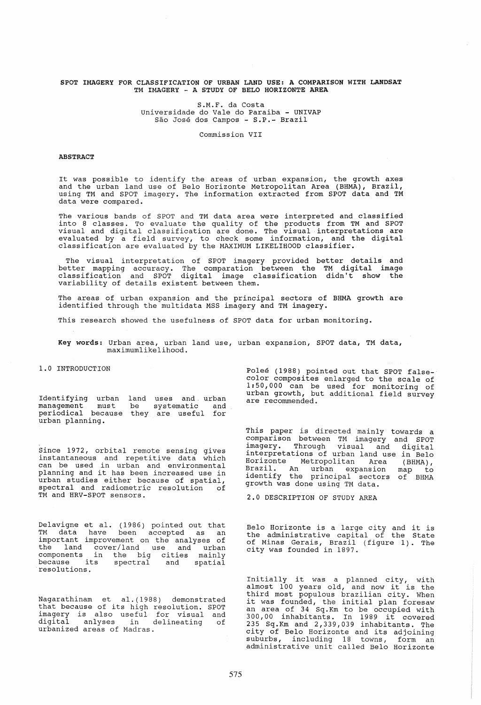### SPOT IMAGERY FOR CLASSIFICATION OF URBAN LAND USE: A COMPARISON WITH LANDSAT TM IMAGERY - A STUDY OF BELO HORIZONTE AREA

S.M.F. da Costa Universidade do Vale do Paraiba - UNIVAP São José dos Campos - S.P. - Brazil

Commission VII

#### ABSTRACT

It was possible to identify the areas of urban expansion, the growth <mark>axes</mark><br>and the urban land use of Belo Horizonte Metropolitan Area (BHMA), Brazil, using TM and SPOT imagery. The information extracted from SPOT data and TM data were compared.

The various bands of SPOT and TM data area were interpreted and classified into 8 classes. To evaluate the quality of the products from TM and SPOT visual and digital classification are done. The visual interpretations are evaluated by a field survey, to check some information, and the digital evaluated by a field survey, to check some information, and the digital classification are evaluated by the MAXIMUM LIKELIHOOD classifier.

The visual interpretation of SPOT imagery provided better details and better mapping accuracy. The comparation between the TM digital image classification and SPOT digital image classification didn't show the variability of details existent between them.

The areas of urban expansion and the principal sectors of BHMA growth are identified through the multidata MSS imagery and TM imagery.

This research showed the usefulness of SPOT data for urban monitoring.

Key words: Urban area, urban land use, urban expansion, SPOT data, TM data, maximumlikelihood.

1.0 INTRODUCTION

Identifying urban land uses and. urban management must periodical because be urban planning. be systematic and<br>they are useful for

Since 1972, orbital remote sensing gives instantaneous and repetitive data which can be used in urban and environmental planning and it has been increased use in urban studies either because of spatial, spectral and radiometric resolution of TM and HRV-SPOT sensors.

Delavigne et al. (1986) pointed out that TM data have been accepted as an important improvement on the analyses of the land cover/land use and urban components in the big cities mainly because its spectral and spatial<br>resolutions.

Nagarathinam et al.(1988) demonstrated that because of its high resolution. SPOT imagery is also useful for visual and mayor, is disc dictar for visual dha<br>digital anlyses in delineating of urbanized areas of Madras.

Polee (1988) pointed out that SPOT falsecolor composites enlarged to the scale of 1: 50,000 can be used for monitoring of urban growth, but additional field survey are recommended.

This paper is directed mainly towards a comparison between TM imagery and SPOT imagery. Through visual and digital interpretations of urban land use in Belo Horizonte Metropolitan Area (BHMA), Brazil. An urban expansion map to identify the principal sectors of BHMA growth was done using TM data.

2.0 DESCRIPTION OF STUDY AREA

Belo Horizonte is a large city and it is the administrative capital of the State of Minas Gerais, Brazil (figure 1). The city was founded in 1897.

Initially it was a planned city, with almost 100 years old, and now it is the third most populous brazilian city. When it was founded, the initial plan foresaw an area of 34 Sq.Km to be occupied with 300,00 inhabitants. In 1989 it covered 235 Sq.Km and 2,339,039 inhabitants. The city of Belo Horizonte and its adjoining suburbs, including 18 towns, form an administrative unit called Belo Horizonte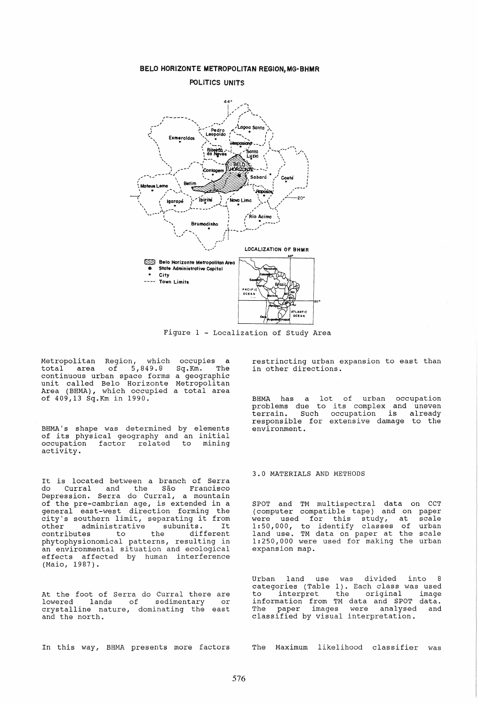

BELO HORIZONTE METROPOLITAN REGION, MG-BHMR

Figure 1 - Localization of study Area

Metropolitan Region, which occupies<br>total area of 5,849.8 Sq.Km. 1  $of$  5,849.8 Metropolitan Region, which occupies <mark>a</mark><br>total area of 5,849.8 Sq.Km. The<br>continuous urban space forms a geographic unit called Belo Rorizonte Area (BRMA) , which occupied of 409,13 Sq.Km in 1990. Metropolitan a total area

BHMA's shape was determined by elements of its physical geography and an initial<br>occupation factor related to mining occupation factor related activity.

It is located between a branch of Serra<br>do Curral and the São Francisco Curral and the São Francisco Depression. Serra do Curral, a mountain of the pre-cambrian age, is extended in a general east-west direction forming the city's southern limit, separating it from other administrative subunits. It contributes to the different phytophysionomical patterns, resulting in an environmental situation and ecological an environmental situation and ecological<br>effects affected by human interference (Maio, 1987).

At the foot of Serra do Curral there are lowered lands of sedimentary or crystalline nature, dominating the east and the north.

In this way, BHMA presents more factors

restrincting urban expansion to east than in other directions.

BHMA has a lot of urban occupation problems due to its complex and uneven terrain. Such occupation is already ferrain. Such occupation is already<br>responsible for extensive damage to the environment.

## 3.0 MATERIALS AND METHODS

SPOT and TM multispectral data on CCT<br>(computer compatible tape) and on paper were used for this study, at scale of urban the scale the urban contracted on paper at the beart (computer compatible tape) and were used for this study, 1:50,000, to identify classes land use. TM data on paper at expansion map.

Urban land use was divided into 8 categories (Table 1). Each class was used<br>to interpret the original image interpret the original information from TM data and SPOT data. The paper images were analysed and classified by visual interpretation.

The Maximum likelihood classifier was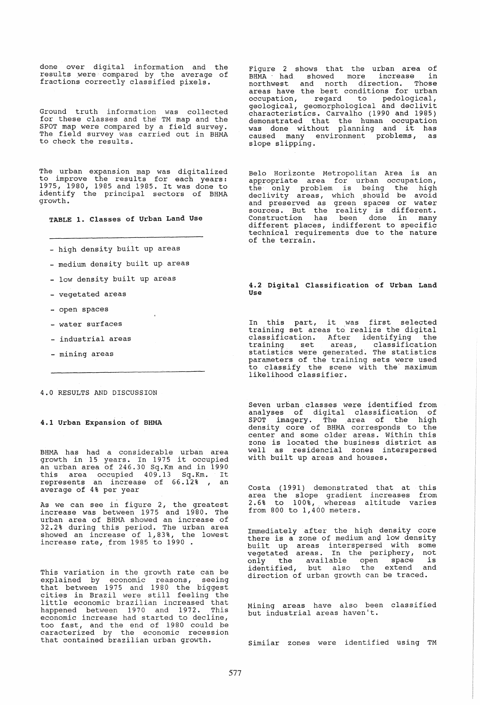done over digital information and the able by the argued by the average of fractions correctly classified pixels.

Ground truth information was collected for these classes and the TM map and the SPOT map were compared by a field survey. The field survey was carried out in BHMA to check the results.

The urban expansion map was digitalized to improve the results for each years: 1975, 1980, 1985 and 1985. It was done to identify the principal sectors of BHMA growth.

TABLE 1. Classes of Urban Land Use

- high density built up areas
- medium density built up areas
- low density built up areas
- vegetated areas
- open spaces
- water surfaces
- industrial areas
- mining areas

### 4.0 RESULTS AND DISCUSSION

#### 4.1 Urban Expansion of SHMA

BHMA has had a considerable urban area growth in 15 years. In 1975 it occupied an urban area of 246.30 Sq.Km and in 1990 an uiban area of 240.50 Sq. Km and In 1990<br>this area occupied 409.13 Sq. Km. It represents an increase of 66.12% , an<br>average of 4% per year

As we can see in figure 2, the greatest increase was between 1975 and 1980. The urban area of BHMA showed an increase of 32.2% during this period. The urban area<br>Showed an increase of 1,83%, the lowest increase rate, from 1985 to 1990.

This variation in the growth rate can be explained by economic reasons, seeing that between 1975 and 1980 the biggest cities in Brazil were still feeling the little economic brazilian increased that happened between 1970 and 1972. This economic increase had started to decline, too fast, and the end of 1980 could be caracterized by the economic recession that contained brazilian urban growth.

Figure 2 shows that the urban area of BHMA had showed more increase in northwest and north direction. Those<br>areas have the best conditions for urban occupation, regard to pedological, geological, geomorphological and declivit characteristics. Carvalho (1990 and 1985) demonstrated that the human occupation<br>was done without planning and it has caused many environment problems, as<br>slope slipping.

Belo Horlzonte Metropolitan Area is an appropriate area for urban occupation, the only problem is being the high declivity areas, which should be avoid and preserved as green spaces or water sources. But the reality is different. Construction has been done in many different places, indifferent to specific technical requirements due to the nature of the terrain.

#### 4.2 Digital Classification of Urban Land Use

In this part, it was first selected training set areas to realize the digital classification. After identifying the training set areas, classification statistics were generated. The statistics parameters of the training sets were used to classify the scene with the" maximum likelihood classifier.

Seven urban classes were identified from analyses of digital classification of SPOT imagery. The area of the high density core of BHMA corresponds to the center and some older areas. within this zone is located the business district as well as residencial zones interspersed with built up areas and houses.

Costa (1991) demonstrated that at this area the slope gradient increases from 2.6% to 100%, whereas altitude varies from 800 to 1,400 meters.

Immediately after the high density core there is a zone of medium anQ low density built up areas interspersed with some vegetated areas. In the periphery, not vegetated areas. In the peripher<sub>1</sub>, here identified, but also the extend and direction of urban growth can be traced.

Mining areas have also been classified but industrial areas haven't.

Simiiar zones were identified using TM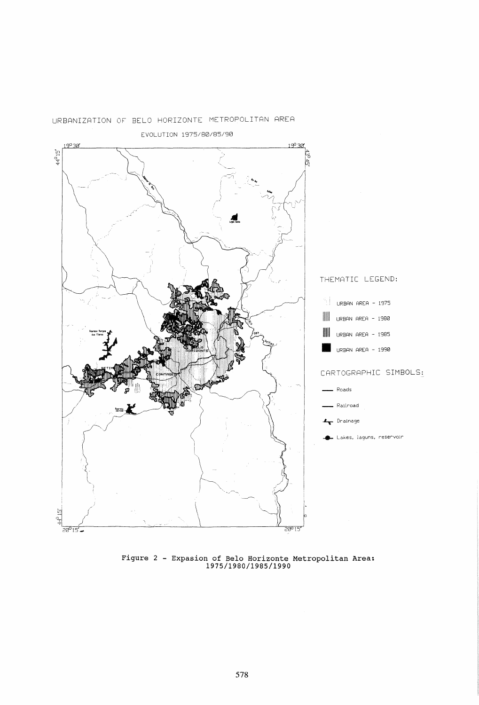

# URBANIZATION OF BELO HORIZONTE METROPOLITAN AREA

**Figure 2 - Expasion of Belo Horizonte Metropolitan Area: 1975/1980/1985/1990**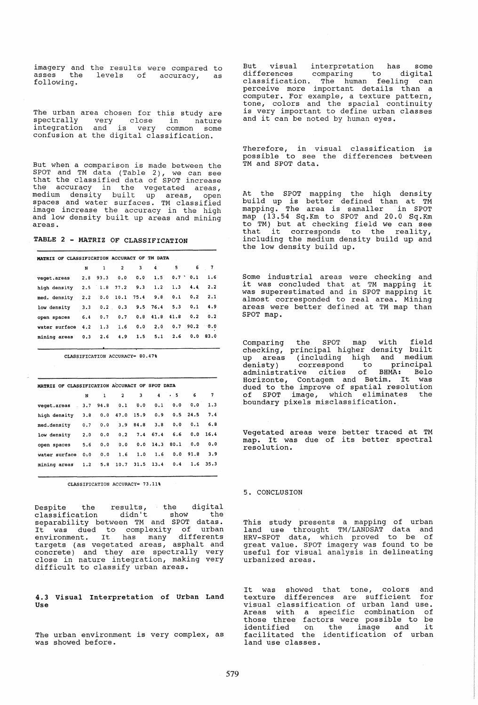imagery and the results were compared to asses the levels of accuracy, as following.

The urban area chosen for this study are<br>spectrally very close in nature integration and is very common some confusion at the digital classification.

But when a comparison is made between the SPOT and TM data (Table 2), we can see that the classified data of SPOT increase the accuracy in the vegetated areas, medium density built up areas, open spaces and water surfaces. TM classified image increase the accuracy in the high and low density built up areas and mining areas.

TABLE 2 - MATRIZ OF CLASSIFICATION

| MATRIZ OF CLASSIFICATION ACCURACY OF TM DATA |     |     |                    |     |                 |     |                |          |
|----------------------------------------------|-----|-----|--------------------|-----|-----------------|-----|----------------|----------|
|                                              | N   | 1   | $\overline{2}$     | 3   | 4 <sup>1</sup>  | 5.  | 6              | 7        |
| veget.areas                                  |     |     | $2.8$ 93.3 0.0     | 0.0 | 1.5             |     | $0.7$ $0.1$    | 1.6      |
| high density                                 |     |     | $2.5$ 1.8 77.2 9.3 |     | 1.2             | 1.3 | 4.4            | 2.2      |
| med. density                                 | 2.2 |     | $0.0$ 10.1 75.4    |     | 9.8             | 0.1 | 0.2            | 2.1      |
| low density                                  | 3.3 |     | $0.2 \quad 0.3$    |     | 9.5 76.4        | 5.3 | 0.1            | 4.9      |
| open spaces                                  | 6.4 | 0.7 | 0.7                |     | $0.8$ 41.8 41.8 |     | 0.2            | 0.2      |
| water surface 4.2                            |     | 1.3 | 1.6                | 0.0 | 2.0             |     | $0.7$ 90.2 0.0 |          |
| mining areas 0.3                             |     | 2.6 | 4.9                | 1.5 | 5.1             | 2.6 |                | 0.0 83.0 |
|                                              |     |     |                    |     |                 |     |                |          |

CLASSIFICATION ACCURACY= BO.47%

| MATRIZ OF CLASSIFICATION ACCURACY OF SPOT DATA |     |     |                    |            |                 |      |              |            |  |  |  |  |
|------------------------------------------------|-----|-----|--------------------|------------|-----------------|------|--------------|------------|--|--|--|--|
|                                                | N   |     | $\mathbf{2}$       | 3          | $\overline{4}$  | $+5$ | 6            | 7          |  |  |  |  |
| veget.areas                                    |     |     | $3.7$ 94.8 0.1 0.0 |            | 0.1             | 0.0  | 0.0          | 1.3        |  |  |  |  |
| high density                                   | 3.8 |     | $0.0$ 47.0 15.9    |            | 0.9             |      | $0.5$ 24.5   | 7.4        |  |  |  |  |
| med.density                                    | 0.7 | 0.0 |                    | $3.9$ 84.8 | 3.8             | 0.0  | 0.1          | 6.8        |  |  |  |  |
| low density                                    | 2.0 | 0.0 | 0.2                |            | 7.4 67.4        | 6.6  |              | 0.0 16.4   |  |  |  |  |
| open spaces                                    | 5.6 | 0.0 | 0.0                |            | $0.0$ 14.3 80.1 |      | 0.0          | 0.0        |  |  |  |  |
| water surface                                  | 0:0 | 0.0 | 1.6                | 1.0        | 1.6             |      | $0.0$ $91.8$ | 3.9        |  |  |  |  |
| mining areas                                   | 1.2 |     | 5.8 10.7 31.5 13.4 |            |                 | 0.4  |              | $1.6$ 35.3 |  |  |  |  |

CLASSIFICATION ACCURACY= 73.11%

Despite the results, the digital classification didn't show the separabili ty between TM and SPOT datas. It was dued to complexity of urban It was dued to complexity of dibantargets (as vegetated areas, asphalt and concrete) and they are spectrally very close in nature integration, making very difficult to classify urban areas.

4.3 Visual Interpretation of Urban Land Use

The urban environment is very complex, as was showed before.

But visual interpretation has some differences comparing to digital classification. The human feeling can perceive more important details than a computer. For example, a texture pattern, tone, colors and the spacial continuity is very important to define urban classes and it can be noted by human eyes.

Therefore, in visual classification is possible to see the differences between TM and SPOT data.

At the SPOT mapping the high density build up is better defined than at TM xaria ap is sector actrica enan ac in map (13.54 Sq.Km to SPOT and 20.0 Sq.Km to TM) but at checking field we can see that it corresponds to the reali ty, including the medium density build up and the low density build up.

Some industrial areas were checking and it was concluded that at TM mapping it was superestimated and in SPOT mapping it almost corresponded to real area. Mining it<br>almost corresponded to real area. Mining<br>areas were better defined at TM map than SPOT map.

Comparing the SPOT map with field checking, principal higher density built<br>up areas (including high and medium up areas (including high and medium denisty) correspond to principal administrative cities of BHMA: Belo Horizonte, Contagem and Betim. It was dued to the improve of spatial resolution of SPOT image, which eliminates the of SPOT image, which eliminates<br>boundary pixels misclassification.

Vegetated areas were better traced at TM map. It was due of its better spectral resolution.

5. CONCLUSION

This study presents a mapping of urban land use throught TM/LANDSAT data and HRV-SPOT data, which proved to be of great value. SPOT imagery was found to be useful for visual analysis in delineating urbanized areas.

It was showed that tone, colors and texture differences are sufficient for visual classification of urban land use. Areas with a specific combination of those three factors were possible to be those three factors were possible to be<br>identified on the image and it facilitated the identification of urban land use classes.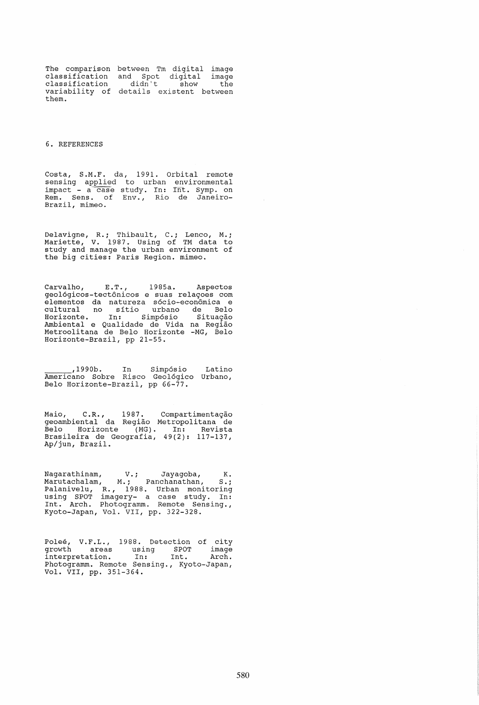The comparison between Tm digital image classification classification variability of details existent between them. and Spot digital image<br>didn't show the

## 6. REFERENCES

Costa, S.M.F. da, 1991. Orbital remote senslng applied to urban environmental impact - a case study. In: Int. Symp. on<br>Rem. Sens. of Env., Rio de Janeiro-Brazil, mimeo.

Delavigne, R.; Thibault, C.; Lenco, M.; Mariette, V. 1987. Using of TM data to study and manage the urban environment of the big cities: Paris Region. mimeo.

Carvalho, E.T., 1985a. Aspectos geo16gicos-tectonicos e suas relagoes com elementos da natureza s6cio-economica e cultural no sitio urbano de Belo Horizonte. In: Simp6sio Situagao Ambiental e Qualidade de Vida na Regiao Metroolitana de Belo Horizonte -MG, Belo Horizonte-Brazil, pp 21-55.

\_\_\_\_\_\_\_\_,1990b. In Simpósio Americano Sobre Risco Geol6gico Belo Horizonte-Brazil, pp 66-77. Latino Urbano,

Maio, C.R., 1987. Compartimentação geoambiental da Regiao Metropolitana de Belo Horizonte (MG). In: Revista Brasileira de Geografia, 49(2): 117-137, Ap/jun, Brazil.

Nagarathinam, V.; Jayagoba, K. Marutachalam, M.; Panchanathan, S.; Palanivelu, R., 1988. Urban monitoring using SPOT imagery- a case study. In: Int. Arch. Photogramm. Remote Sensing., Kyoto-Japan, Vol. VII, pp. 322-328.

Poleé, V.F.L., 1988. Detection of city growth areas using SPOT image interpretation. In: Int. Arch. Photogramm. Remote Sensing., Kyoto-Japan, Vol. VII, pp. 351-364.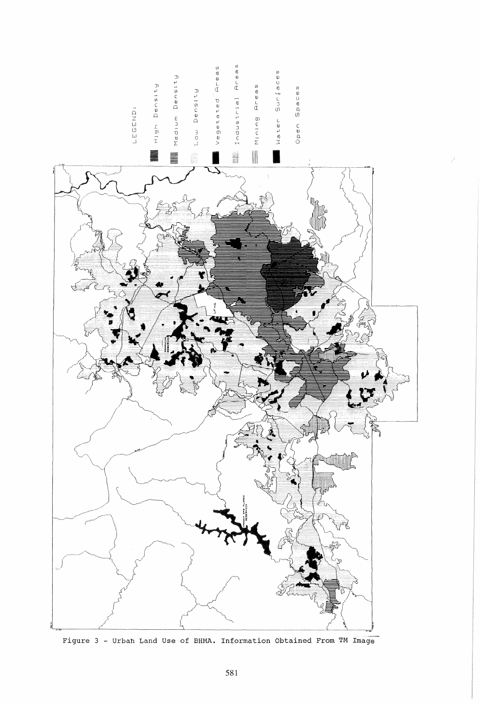